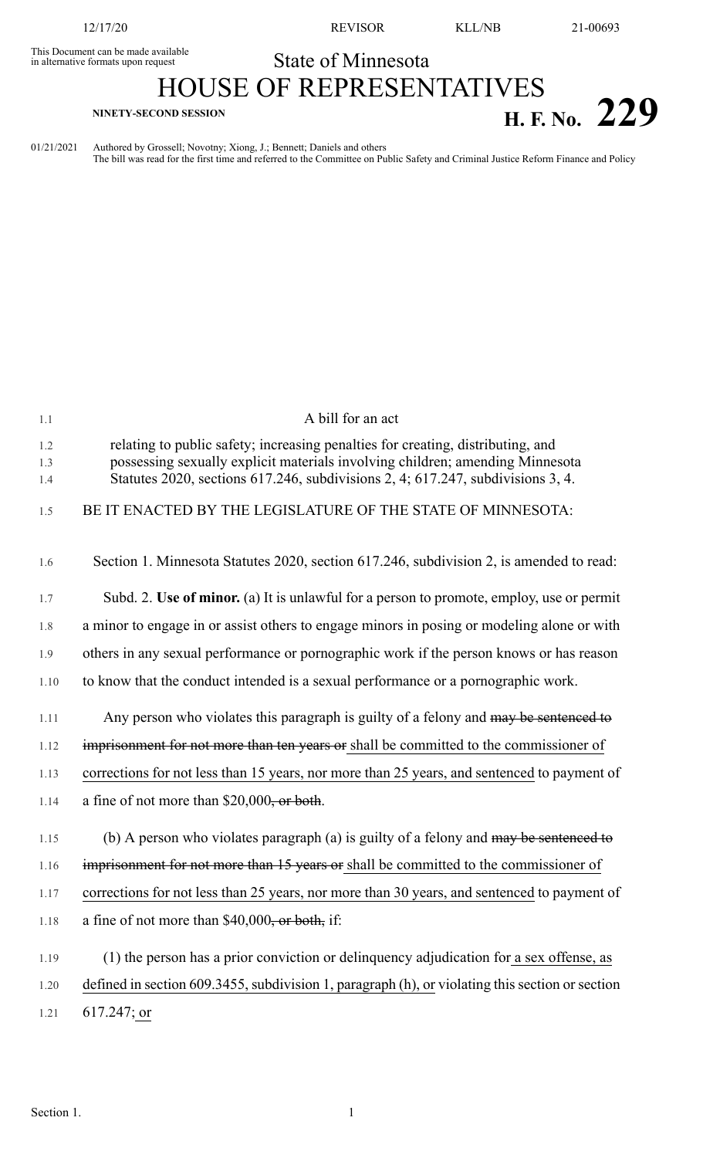This Document can be made available<br>in alternative formats upon request

12/17/20 REVISOR KLL/NB 21-00693

## State of Minnesota

## HOUSE OF REPRESENTATIVES **H. F. No. 229**

01/21/2021 Authored by Grossell; Novotny; Xiong, J.; Bennett; Daniels and others The bill was read for the first time and referred to the Committee on Public Safety and Criminal Justice Reform Finance and Policy

| 1.1               | A bill for an act                                                                                                                                                                                                                                   |
|-------------------|-----------------------------------------------------------------------------------------------------------------------------------------------------------------------------------------------------------------------------------------------------|
| 1.2<br>1.3<br>1.4 | relating to public safety; increasing penalties for creating, distributing, and<br>possessing sexually explicit materials involving children; amending Minnesota<br>Statutes 2020, sections 617.246, subdivisions 2, 4; 617.247, subdivisions 3, 4. |
| 1.5               | BE IT ENACTED BY THE LEGISLATURE OF THE STATE OF MINNESOTA:                                                                                                                                                                                         |
| 1.6               | Section 1. Minnesota Statutes 2020, section 617.246, subdivision 2, is amended to read:                                                                                                                                                             |
| 1.7               | Subd. 2. Use of minor. (a) It is unlawful for a person to promote, employ, use or permit                                                                                                                                                            |
| 1.8               | a minor to engage in or assist others to engage minors in posing or modeling alone or with                                                                                                                                                          |
| 1.9               | others in any sexual performance or pornographic work if the person knows or has reason                                                                                                                                                             |
| 1.10              | to know that the conduct intended is a sexual performance or a pornographic work.                                                                                                                                                                   |
| 1.11              | Any person who violates this paragraph is guilty of a felony and may be sentenced to                                                                                                                                                                |
| 1.12              | imprisonment for not more than ten years or shall be committed to the commissioner of                                                                                                                                                               |
| 1.13              | corrections for not less than 15 years, nor more than 25 years, and sentenced to payment of                                                                                                                                                         |
| 1.14              | a fine of not more than $$20,000$ , or both.                                                                                                                                                                                                        |
| 1.15              | (b) A person who violates paragraph (a) is guilty of a felony and may be sentenced to                                                                                                                                                               |
| 1.16              | imprisonment for not more than 15 years or shall be committed to the commissioner of                                                                                                                                                                |
| 1.17              | corrections for not less than 25 years, nor more than 30 years, and sentenced to payment of                                                                                                                                                         |
| 1.18              | a fine of not more than $$40,000$ , or both, if:                                                                                                                                                                                                    |
| 1.19              | (1) the person has a prior conviction or delinquency adjudication for a sex offense, as                                                                                                                                                             |
| 1.20              | defined in section 609.3455, subdivision 1, paragraph (h), or violating this section or section                                                                                                                                                     |
| 1.21              | $617.247$ ; or                                                                                                                                                                                                                                      |
|                   |                                                                                                                                                                                                                                                     |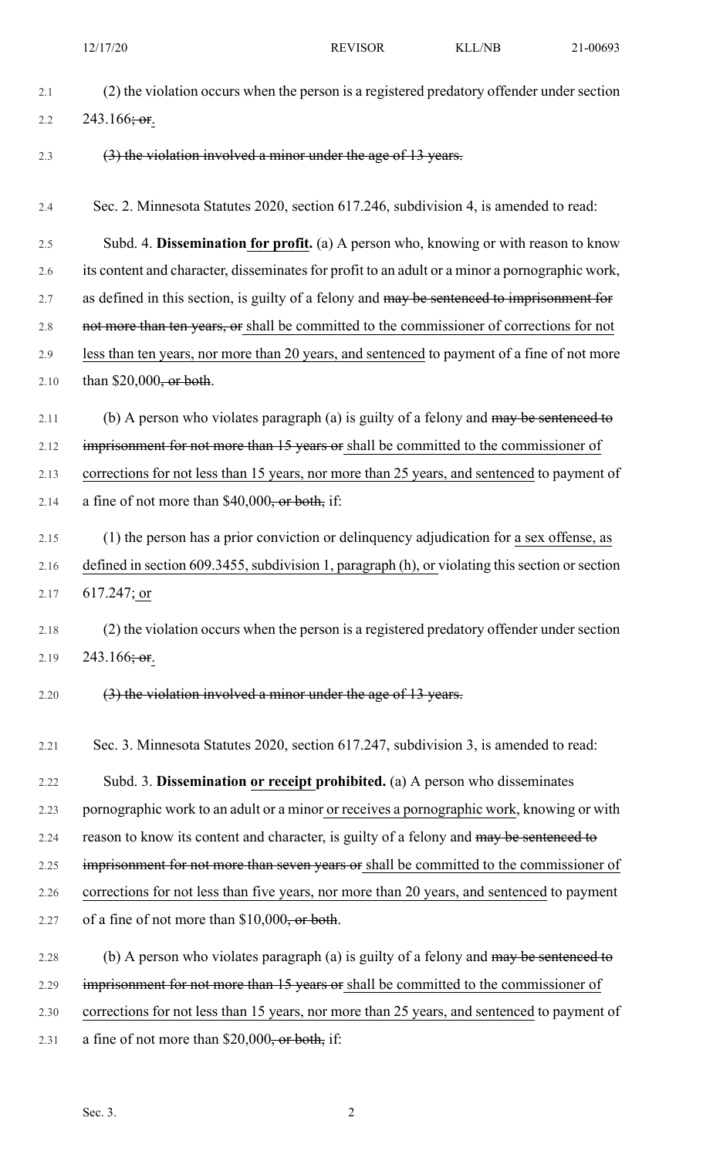| 2.1  | (2) the violation occurs when the person is a registered predatory offender under section       |
|------|-------------------------------------------------------------------------------------------------|
| 2.2  | 243.166; or.                                                                                    |
| 2.3  | (3) the violation involved a minor under the age of 13 years.                                   |
| 2.4  | Sec. 2. Minnesota Statutes 2020, section 617.246, subdivision 4, is amended to read:            |
| 2.5  | Subd. 4. Dissemination for profit. (a) A person who, knowing or with reason to know             |
| 2.6  | its content and character, disseminates for profit to an adult or a minor a pornographic work,  |
| 2.7  | as defined in this section, is guilty of a felony and may be senteneed to imprisonment for      |
| 2.8  | not more than ten years, or shall be committed to the commissioner of corrections for not       |
| 2.9  | less than ten years, nor more than 20 years, and sentenced to payment of a fine of not more     |
| 2.10 | than $$20,000,$ or both.                                                                        |
| 2.11 | (b) A person who violates paragraph (a) is guilty of a felony and may be sentenced to           |
| 2.12 | imprisonment for not more than 15 years or shall be committed to the commissioner of            |
| 2.13 | corrections for not less than 15 years, nor more than 25 years, and sentenced to payment of     |
| 2.14 | a fine of not more than $$40,000$ , or both, if:                                                |
| 2.15 | (1) the person has a prior conviction or delinguency adjudication for a sex offense, as         |
| 2.16 | defined in section 609.3455, subdivision 1, paragraph (h), or violating this section or section |
| 2.17 | $617.247$ ; or                                                                                  |
| 2.18 | (2) the violation occurs when the person is a registered predatory offender under section       |
| 2.19 | 243.166; or.                                                                                    |
| 2.20 | (3) the violation involved a minor under the age of 13 years.                                   |
| 2.21 | Sec. 3. Minnesota Statutes 2020, section 617.247, subdivision 3, is amended to read:            |
| 2.22 | Subd. 3. Dissemination or receipt prohibited. (a) A person who disseminates                     |
| 2.23 | pornographic work to an adult or a minor or receives a pornographic work, knowing or with       |
| 2.24 | reason to know its content and character, is guilty of a felony and may be sentenced to         |
| 2.25 | imprisonment for not more than seven years or shall be committed to the commissioner of         |
| 2.26 | corrections for not less than five years, nor more than 20 years, and sentenced to payment      |
| 2.27 | of a fine of not more than $$10,000$ , or both.                                                 |
| 2.28 | (b) A person who violates paragraph (a) is guilty of a felony and may be sentenced to           |
| 2.29 | imprisonment for not more than 15 years or shall be committed to the commissioner of            |
| 2.30 | corrections for not less than 15 years, nor more than 25 years, and sentenced to payment of     |
| 2.31 | a fine of not more than $$20,000$ , or both, if:                                                |